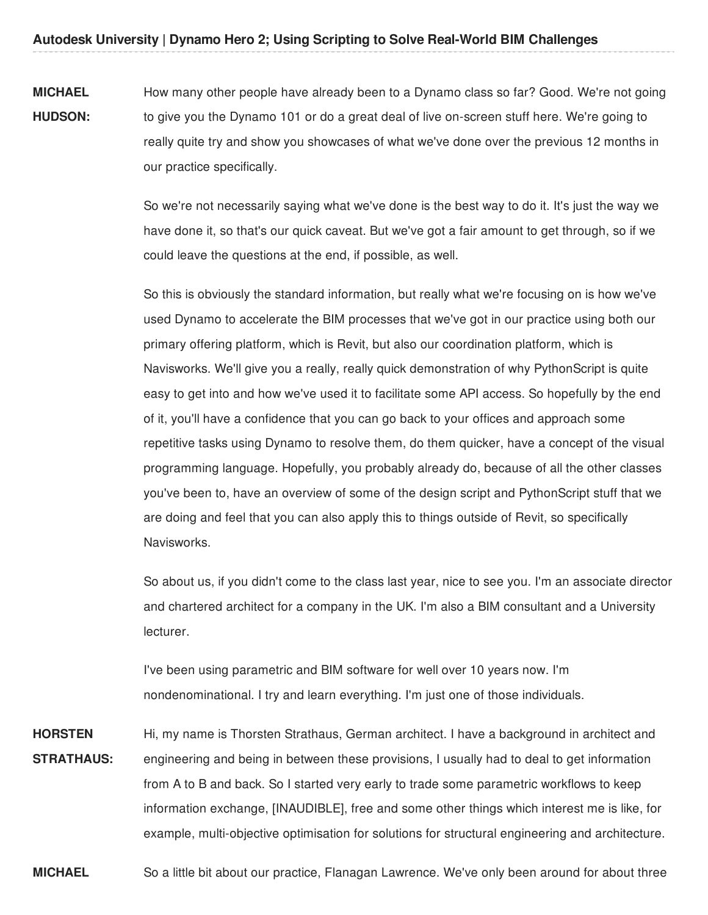**MICHAEL HUDSON:** How many other people have already been to a Dynamo class so far? Good. We're not going to give you the Dynamo 101 or do a great deal of live on-screen stuff here. We're going to really quite try and show you showcases of what we've done over the previous 12 months in our practice specifically.

> So we're not necessarily saying what we've done is the best way to do it. It's just the way we have done it, so that's our quick caveat. But we've got a fair amount to get through, so if we could leave the questions at the end, if possible, as well.

So this is obviously the standard information, but really what we're focusing on is how we've used Dynamo to accelerate the BIM processes that we've got in our practice using both our primary offering platform, which is Revit, but also our coordination platform, which is Navisworks. We'll give you a really, really quick demonstration of why PythonScript is quite easy to get into and how we've used it to facilitate some API access. So hopefully by the end of it, you'll have a confidence that you can go back to your offices and approach some repetitive tasks using Dynamo to resolve them, do them quicker, have a concept of the visual programming language. Hopefully, you probably already do, because of all the other classes you've been to, have an overview of some of the design script and PythonScript stuff that we are doing and feel that you can also apply this to things outside of Revit, so specifically Navisworks.

So about us, if you didn't come to the class last year, nice to see you. I'm an associate director and chartered architect for a company in the UK. I'm also a BIM consultant and a University lecturer.

I've been using parametric and BIM software for well over 10 years now. I'm nondenominational. I try and learn everything. I'm just one of those individuals.

**HORSTEN STRATHAUS:** Hi, my name is Thorsten Strathaus, German architect. I have a background in architect and engineering and being in between these provisions, I usually had to deal to get information from A to B and back. So I started very early to trade some parametric workflows to keep information exchange, [INAUDIBLE], free and some other things which interest me is like, for example, multi-objective optimisation for solutions for structural engineering and architecture.

**MICHAEL** So a little bit about our practice, Flanagan Lawrence. We've only been around for about three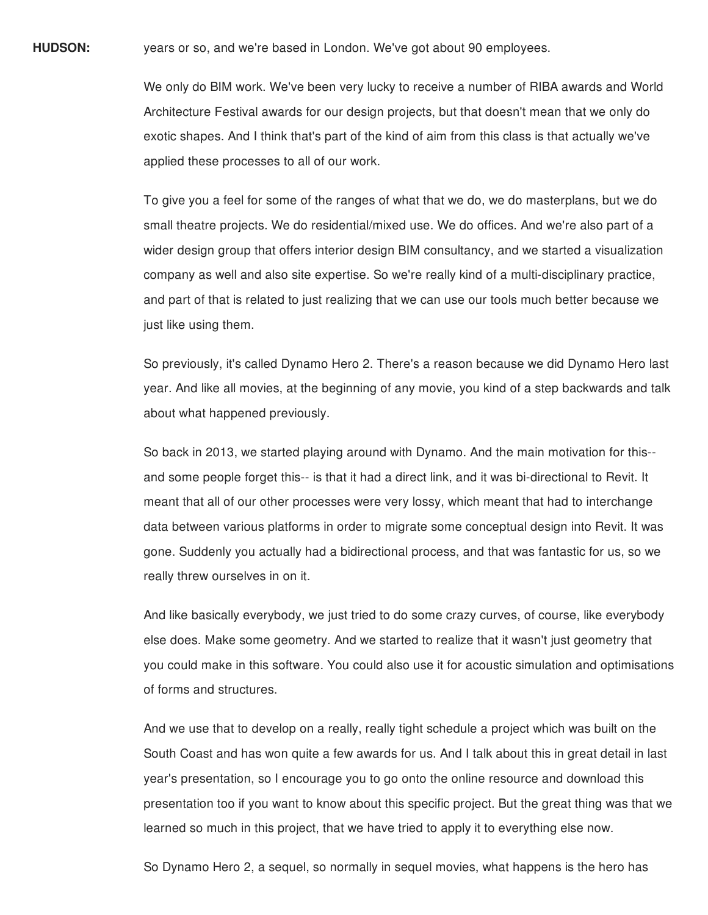**HUDSON:** years or so, and we're based in London. We've got about 90 employees.

We only do BIM work. We've been very lucky to receive a number of RIBA awards and World Architecture Festival awards for our design projects, but that doesn't mean that we only do exotic shapes. And I think that's part of the kind of aim from this class is that actually we've applied these processes to all of our work.

To give you a feel for some of the ranges of what that we do, we do masterplans, but we do small theatre projects. We do residential/mixed use. We do offices. And we're also part of a wider design group that offers interior design BIM consultancy, and we started a visualization company as well and also site expertise. So we're really kind of a multi-disciplinary practice, and part of that is related to just realizing that we can use our tools much better because we just like using them.

So previously, it's called Dynamo Hero 2. There's a reason because we did Dynamo Hero last year. And like all movies, at the beginning of any movie, you kind of a step backwards and talk about what happened previously.

So back in 2013, we started playing around with Dynamo. And the main motivation for this- and some people forget this-- is that it had a direct link, and it was bi-directional to Revit. It meant that all of our other processes were very lossy, which meant that had to interchange data between various platforms in order to migrate some conceptual design into Revit. It was gone. Suddenly you actually had a bidirectional process, and that was fantastic for us, so we really threw ourselves in on it.

And like basically everybody, we just tried to do some crazy curves, of course, like everybody else does. Make some geometry. And we started to realize that it wasn't just geometry that you could make in this software. You could also use it for acoustic simulation and optimisations of forms and structures.

And we use that to develop on a really, really tight schedule a project which was built on the South Coast and has won quite a few awards for us. And I talk about this in great detail in last year's presentation, so I encourage you to go onto the online resource and download this presentation too if you want to know about this specific project. But the great thing was that we learned so much in this project, that we have tried to apply it to everything else now.

So Dynamo Hero 2, a sequel, so normally in sequel movies, what happens is the hero has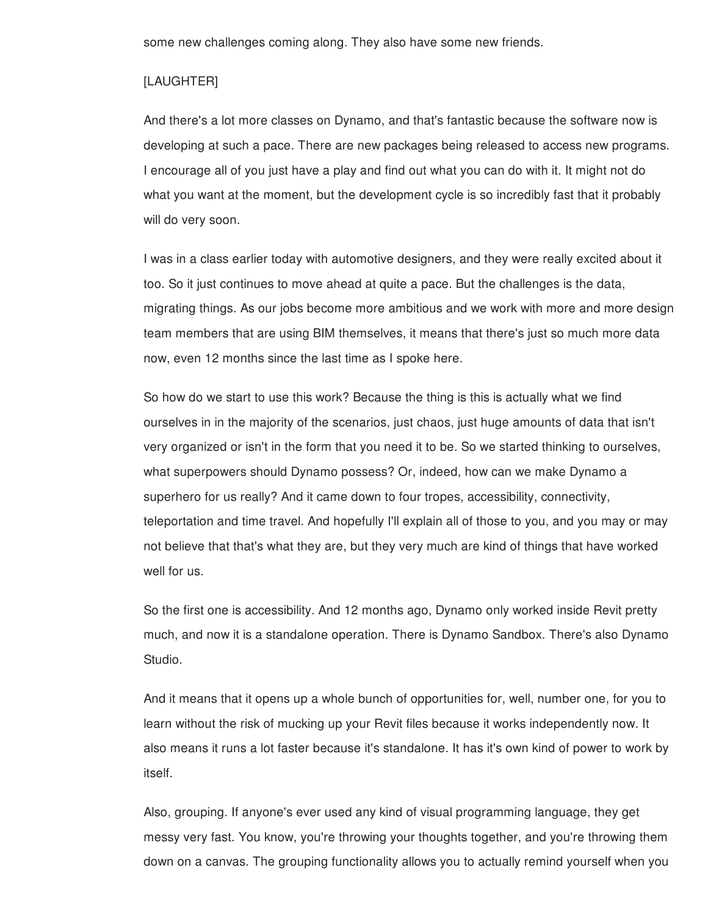some new challenges coming along. They also have some new friends.

#### [LAUGHTER]

And there's a lot more classes on Dynamo, and that's fantastic because the software now is developing at such a pace. There are new packages being released to access new programs. I encourage all of you just have a play and find out what you can do with it. It might not do what you want at the moment, but the development cycle is so incredibly fast that it probably will do very soon.

I was in a class earlier today with automotive designers, and they were really excited about it too. So it just continues to move ahead at quite a pace. But the challenges is the data, migrating things. As our jobs become more ambitious and we work with more and more design team members that are using BIM themselves, it means that there's just so much more data now, even 12 months since the last time as I spoke here.

So how do we start to use this work? Because the thing is this is actually what we find ourselves in in the majority of the scenarios, just chaos, just huge amounts of data that isn't very organized or isn't in the form that you need it to be. So we started thinking to ourselves, what superpowers should Dynamo possess? Or, indeed, how can we make Dynamo a superhero for us really? And it came down to four tropes, accessibility, connectivity, teleportation and time travel. And hopefully I'll explain all of those to you, and you may or may not believe that that's what they are, but they very much are kind of things that have worked well for us.

So the first one is accessibility. And 12 months ago, Dynamo only worked inside Revit pretty much, and now it is a standalone operation. There is Dynamo Sandbox. There's also Dynamo Studio.

And it means that it opens up a whole bunch of opportunities for, well, number one, for you to learn without the risk of mucking up your Revit files because it works independently now. It also means it runs a lot faster because it's standalone. It has it's own kind of power to work by itself.

Also, grouping. If anyone's ever used any kind of visual programming language, they get messy very fast. You know, you're throwing your thoughts together, and you're throwing them down on a canvas. The grouping functionality allows you to actually remind yourself when you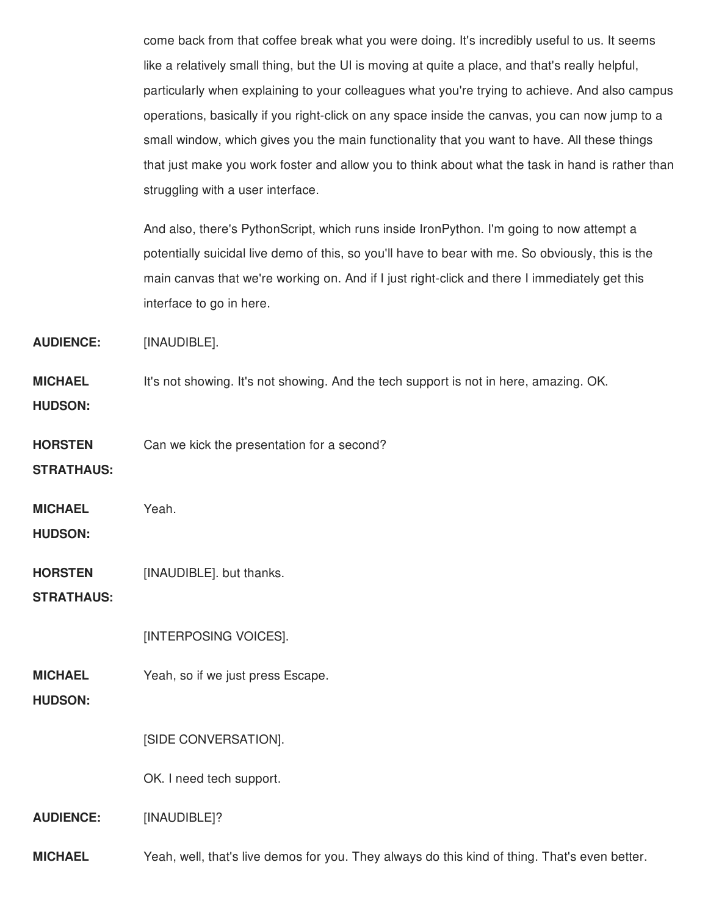come back from that coffee break what you were doing. It's incredibly useful to us. It seems like a relatively small thing, but the UI is moving at quite a place, and that's really helpful, particularly when explaining to your colleagues what you're trying to achieve. And also campus operations, basically if you right-click on any space inside the canvas, you can now jump to a small window, which gives you the main functionality that you want to have. All these things that just make you work foster and allow you to think about what the task in hand is rather than struggling with a user interface.

And also, there's PythonScript, which runs inside IronPython. I'm going to now attempt a potentially suicidal live demo of this, so you'll have to bear with me. So obviously, this is the main canvas that we're working on. And if I just right-click and there I immediately get this interface to go in here.

**AUDIENCE:** [INAUDIBLE].

**MICHAEL** It's not showing. It's not showing. And the tech support is not in here, amazing. OK.

**HUDSON:**

**HORSTEN** Can we kick the presentation for a second?

**STRATHAUS:**

**MICHAEL** Yeah.

**HUDSON:**

**HORSTEN** [INAUDIBLE]. but thanks.

**STRATHAUS:**

[INTERPOSING VOICES].

**MICHAEL** Yeah, so if we just press Escape.

**HUDSON:**

[SIDE CONVERSATION].

OK. I need tech support.

**AUDIENCE:** [INAUDIBLE]?

**MICHAEL** Yeah, well, that's live demos for you. They always do this kind of thing. That's even better.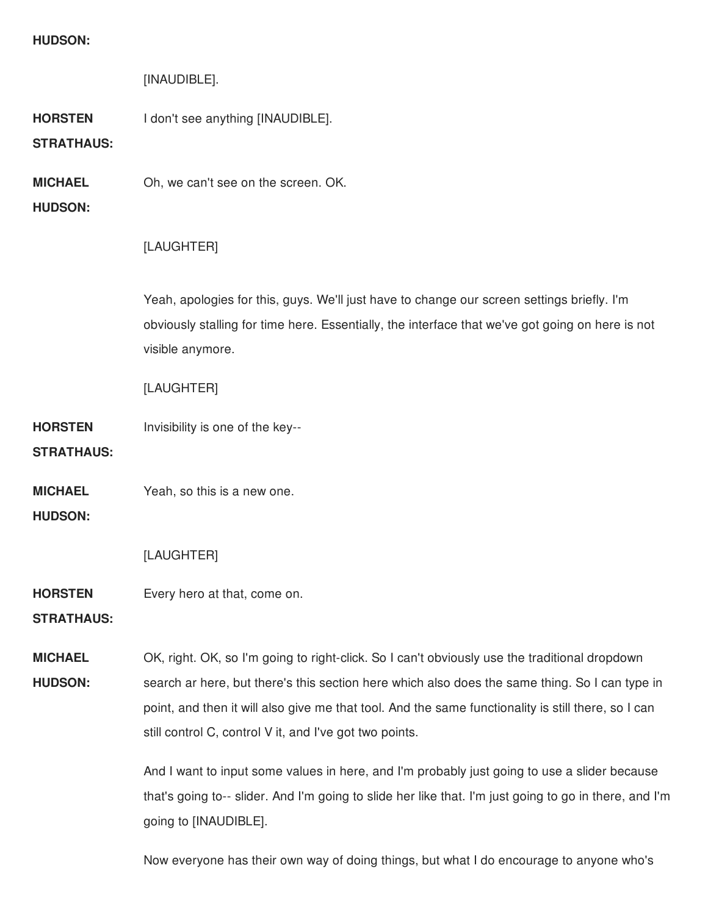### **HUDSON:**

# [INAUDIBLE].

**HORSTEN** I don't see anything [INAUDIBLE].

# **STRATHAUS:**

**MICHAEL** Oh, we can't see on the screen. OK.

## **HUDSON:**

# [LAUGHTER]

Yeah, apologies for this, guys. We'll just have to change our screen settings briefly. I'm obviously stalling for time here. Essentially, the interface that we've got going on here is not visible anymore.

[LAUGHTER]

**HORSTEN STRATHAUS:** Invisibility is one of the key--

**MICHAEL** Yeah, so this is a new one.

**HUDSON:**

# [LAUGHTER]

**HORSTEN** Every hero at that, come on.

### **STRATHAUS:**

**MICHAEL HUDSON:** OK, right. OK, so I'm going to right-click. So I can't obviously use the traditional dropdown search ar here, but there's this section here which also does the same thing. So I can type in point, and then it will also give me that tool. And the same functionality is still there, so I can still control C, control V it, and I've got two points.

> And I want to input some values in here, and I'm probably just going to use a slider because that's going to-- slider. And I'm going to slide her like that. I'm just going to go in there, and I'm going to [INAUDIBLE].

Now everyone has their own way of doing things, but what I do encourage to anyone who's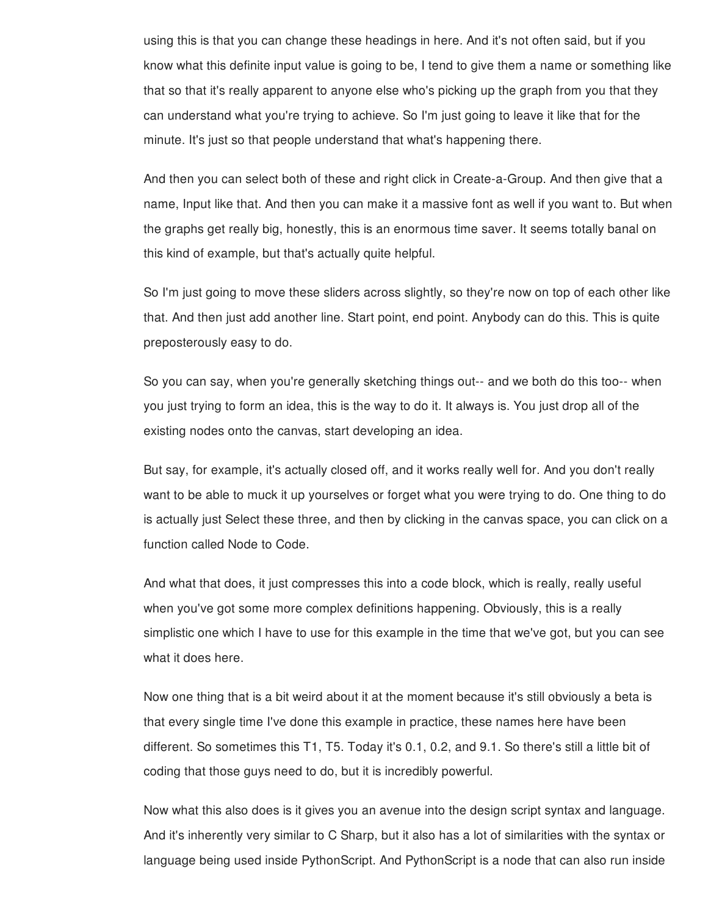using this is that you can change these headings in here. And it's not often said, but if you know what this definite input value is going to be, I tend to give them a name or something like that so that it's really apparent to anyone else who's picking up the graph from you that they can understand what you're trying to achieve. So I'm just going to leave it like that for the minute. It's just so that people understand that what's happening there.

And then you can select both of these and right click in Create-a-Group. And then give that a name, Input like that. And then you can make it a massive font as well if you want to. But when the graphs get really big, honestly, this is an enormous time saver. It seems totally banal on this kind of example, but that's actually quite helpful.

So I'm just going to move these sliders across slightly, so they're now on top of each other like that. And then just add another line. Start point, end point. Anybody can do this. This is quite preposterously easy to do.

So you can say, when you're generally sketching things out-- and we both do this too-- when you just trying to form an idea, this is the way to do it. It always is. You just drop all of the existing nodes onto the canvas, start developing an idea.

But say, for example, it's actually closed off, and it works really well for. And you don't really want to be able to muck it up yourselves or forget what you were trying to do. One thing to do is actually just Select these three, and then by clicking in the canvas space, you can click on a function called Node to Code.

And what that does, it just compresses this into a code block, which is really, really useful when you've got some more complex definitions happening. Obviously, this is a really simplistic one which I have to use for this example in the time that we've got, but you can see what it does here.

Now one thing that is a bit weird about it at the moment because it's still obviously a beta is that every single time I've done this example in practice, these names here have been different. So sometimes this T1, T5. Today it's 0.1, 0.2, and 9.1. So there's still a little bit of coding that those guys need to do, but it is incredibly powerful.

Now what this also does is it gives you an avenue into the design script syntax and language. And it's inherently very similar to C Sharp, but it also has a lot of similarities with the syntax or language being used inside PythonScript. And PythonScript is a node that can also run inside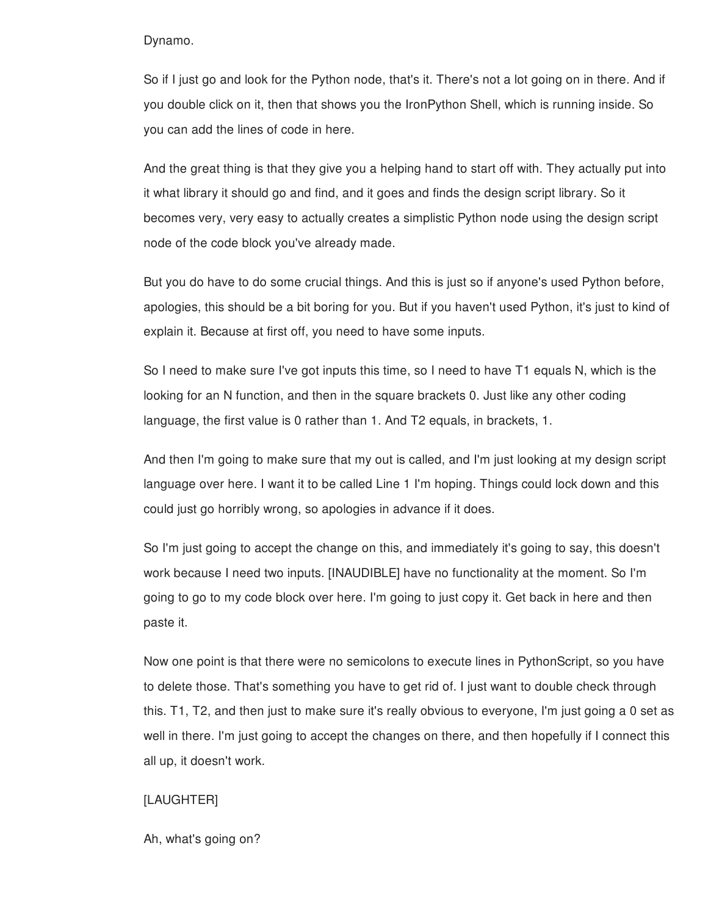#### Dynamo.

So if I just go and look for the Python node, that's it. There's not a lot going on in there. And if you double click on it, then that shows you the IronPython Shell, which is running inside. So you can add the lines of code in here.

And the great thing is that they give you a helping hand to start off with. They actually put into it what library it should go and find, and it goes and finds the design script library. So it becomes very, very easy to actually creates a simplistic Python node using the design script node of the code block you've already made.

But you do have to do some crucial things. And this is just so if anyone's used Python before, apologies, this should be a bit boring for you. But if you haven't used Python, it's just to kind of explain it. Because at first off, you need to have some inputs.

So I need to make sure I've got inputs this time, so I need to have T1 equals N, which is the looking for an N function, and then in the square brackets 0. Just like any other coding language, the first value is 0 rather than 1. And T2 equals, in brackets, 1.

And then I'm going to make sure that my out is called, and I'm just looking at my design script language over here. I want it to be called Line 1 I'm hoping. Things could lock down and this could just go horribly wrong, so apologies in advance if it does.

So I'm just going to accept the change on this, and immediately it's going to say, this doesn't work because I need two inputs. [INAUDIBLE] have no functionality at the moment. So I'm going to go to my code block over here. I'm going to just copy it. Get back in here and then paste it.

Now one point is that there were no semicolons to execute lines in PythonScript, so you have to delete those. That's something you have to get rid of. I just want to double check through this. T1, T2, and then just to make sure it's really obvious to everyone, I'm just going a 0 set as well in there. I'm just going to accept the changes on there, and then hopefully if I connect this all up, it doesn't work.

# [LAUGHTER]

Ah, what's going on?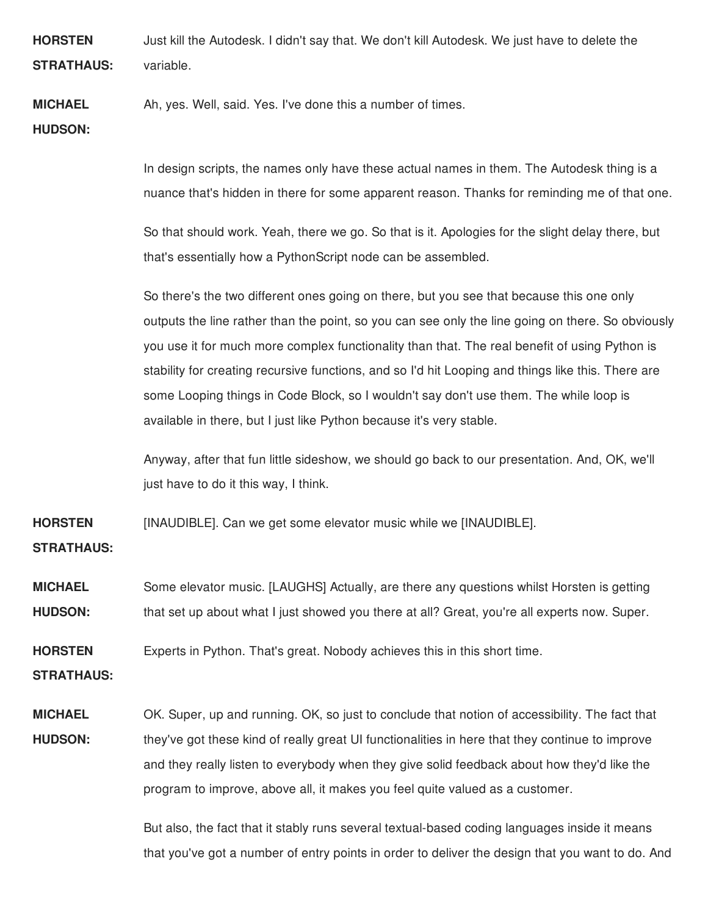**HORSTEN STRATHAUS:** Just kill the Autodesk. I didn't say that. We don't kill Autodesk. We just have to delete the variable.

#### **MICHAEL** Ah, yes. Well, said. Yes. I've done this a number of times.

**HUDSON:**

In design scripts, the names only have these actual names in them. The Autodesk thing is a nuance that's hidden in there for some apparent reason. Thanks for reminding me of that one.

So that should work. Yeah, there we go. So that is it. Apologies for the slight delay there, but that's essentially how a PythonScript node can be assembled.

So there's the two different ones going on there, but you see that because this one only outputs the line rather than the point, so you can see only the line going on there. So obviously you use it for much more complex functionality than that. The real benefit of using Python is stability for creating recursive functions, and so I'd hit Looping and things like this. There are some Looping things in Code Block, so I wouldn't say don't use them. The while loop is available in there, but I just like Python because it's very stable.

Anyway, after that fun little sideshow, we should go back to our presentation. And, OK, we'll just have to do it this way, I think.

**HORSTEN** [INAUDIBLE]. Can we get some elevator music while we [INAUDIBLE].

**STRATHAUS:**

**MICHAEL HUDSON:** Some elevator music. [LAUGHS] Actually, are there any questions whilst Horsten is getting that set up about what I just showed you there at all? Great, you're all experts now. Super.

**HORSTEN** Experts in Python. That's great. Nobody achieves this in this short time.

**STRATHAUS:**

**MICHAEL HUDSON:** OK. Super, up and running. OK, so just to conclude that notion of accessibility. The fact that they've got these kind of really great UI functionalities in here that they continue to improve and they really listen to everybody when they give solid feedback about how they'd like the program to improve, above all, it makes you feel quite valued as a customer.

> But also, the fact that it stably runs several textual-based coding languages inside it means that you've got a number of entry points in order to deliver the design that you want to do. And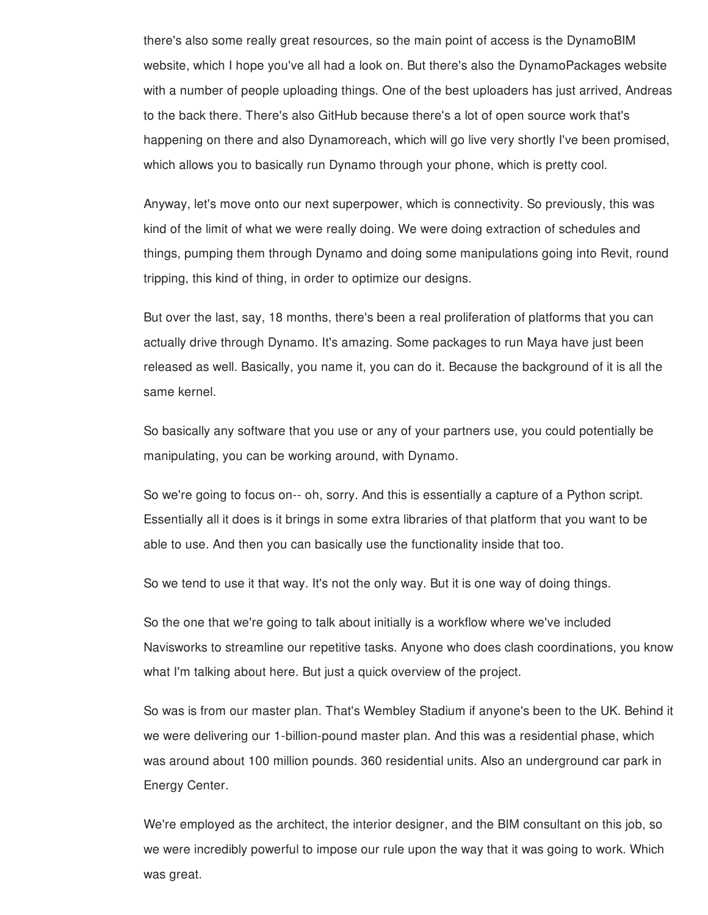there's also some really great resources, so the main point of access is the DynamoBIM website, which I hope you've all had a look on. But there's also the DynamoPackages website with a number of people uploading things. One of the best uploaders has just arrived, Andreas to the back there. There's also GitHub because there's a lot of open source work that's happening on there and also Dynamoreach, which will go live very shortly I've been promised, which allows you to basically run Dynamo through your phone, which is pretty cool.

Anyway, let's move onto our next superpower, which is connectivity. So previously, this was kind of the limit of what we were really doing. We were doing extraction of schedules and things, pumping them through Dynamo and doing some manipulations going into Revit, round tripping, this kind of thing, in order to optimize our designs.

But over the last, say, 18 months, there's been a real proliferation of platforms that you can actually drive through Dynamo. It's amazing. Some packages to run Maya have just been released as well. Basically, you name it, you can do it. Because the background of it is all the same kernel.

So basically any software that you use or any of your partners use, you could potentially be manipulating, you can be working around, with Dynamo.

So we're going to focus on-- oh, sorry. And this is essentially a capture of a Python script. Essentially all it does is it brings in some extra libraries of that platform that you want to be able to use. And then you can basically use the functionality inside that too.

So we tend to use it that way. It's not the only way. But it is one way of doing things.

So the one that we're going to talk about initially is a workflow where we've included Navisworks to streamline our repetitive tasks. Anyone who does clash coordinations, you know what I'm talking about here. But just a quick overview of the project.

So was is from our master plan. That's Wembley Stadium if anyone's been to the UK. Behind it we were delivering our 1-billion-pound master plan. And this was a residential phase, which was around about 100 million pounds. 360 residential units. Also an underground car park in Energy Center.

We're employed as the architect, the interior designer, and the BIM consultant on this job, so we were incredibly powerful to impose our rule upon the way that it was going to work. Which was great.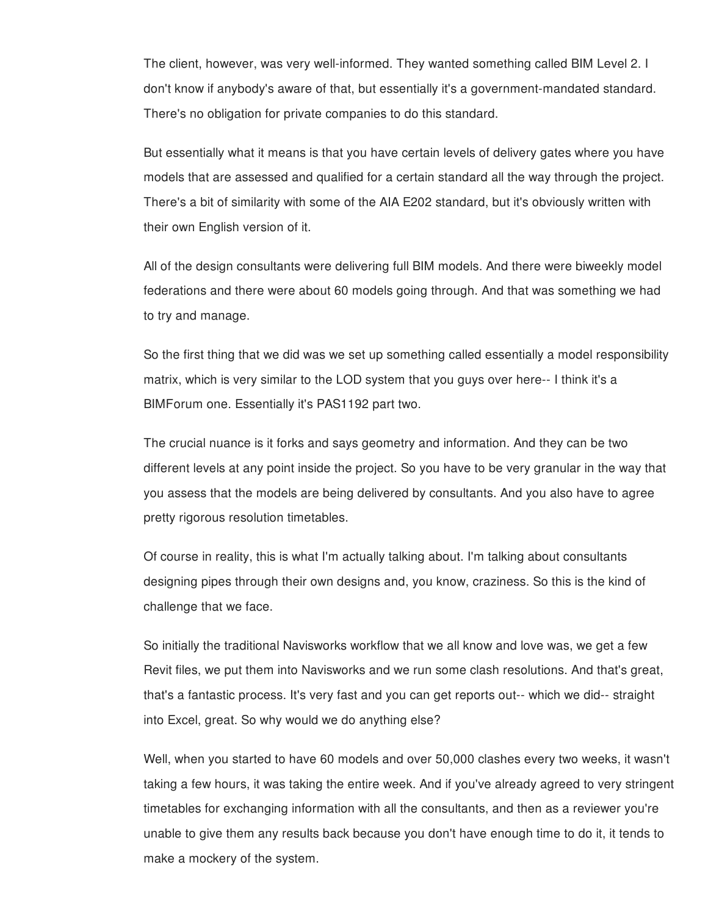The client, however, was very well-informed. They wanted something called BIM Level 2. I don't know if anybody's aware of that, but essentially it's a government-mandated standard. There's no obligation for private companies to do this standard.

But essentially what it means is that you have certain levels of delivery gates where you have models that are assessed and qualified for a certain standard all the way through the project. There's a bit of similarity with some of the AIA E202 standard, but it's obviously written with their own English version of it.

All of the design consultants were delivering full BIM models. And there were biweekly model federations and there were about 60 models going through. And that was something we had to try and manage.

So the first thing that we did was we set up something called essentially a model responsibility matrix, which is very similar to the LOD system that you guys over here-- I think it's a BIMForum one. Essentially it's PAS1192 part two.

The crucial nuance is it forks and says geometry and information. And they can be two different levels at any point inside the project. So you have to be very granular in the way that you assess that the models are being delivered by consultants. And you also have to agree pretty rigorous resolution timetables.

Of course in reality, this is what I'm actually talking about. I'm talking about consultants designing pipes through their own designs and, you know, craziness. So this is the kind of challenge that we face.

So initially the traditional Navisworks workflow that we all know and love was, we get a few Revit files, we put them into Navisworks and we run some clash resolutions. And that's great, that's a fantastic process. It's very fast and you can get reports out-- which we did-- straight into Excel, great. So why would we do anything else?

Well, when you started to have 60 models and over 50,000 clashes every two weeks, it wasn't taking a few hours, it was taking the entire week. And if you've already agreed to very stringent timetables for exchanging information with all the consultants, and then as a reviewer you're unable to give them any results back because you don't have enough time to do it, it tends to make a mockery of the system.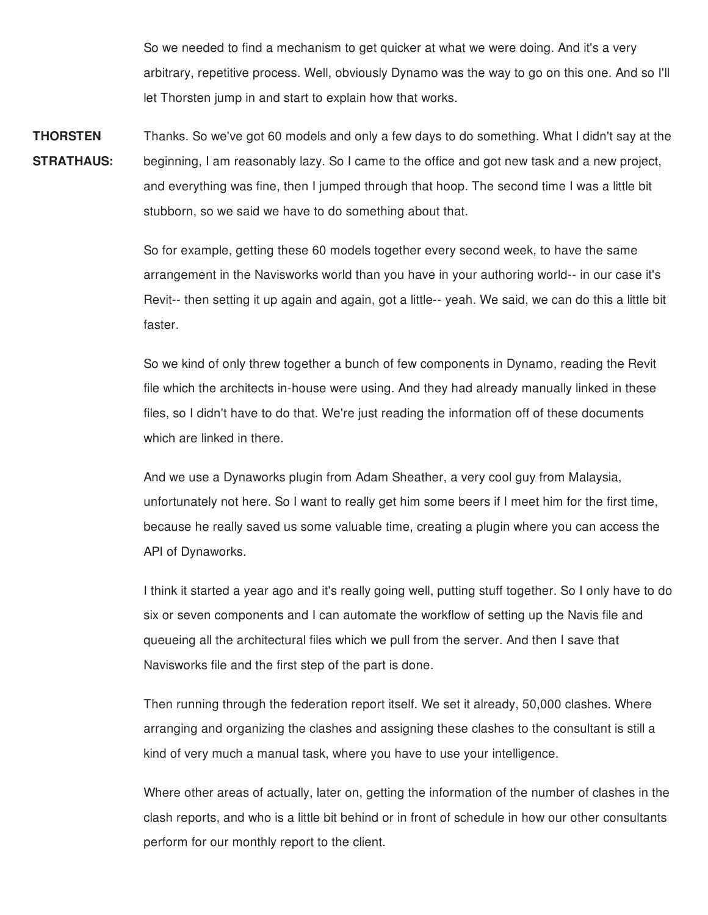So we needed to find a mechanism to get quicker at what we were doing. And it's a very arbitrary, repetitive process. Well, obviously Dynamo was the way to go on this one. And so I'll let Thorsten jump in and start to explain how that works.

**THORSTEN STRATHAUS:** Thanks. So we've got 60 models and only a few days to do something. What I didn't say at the beginning, I am reasonably lazy. So I came to the office and got new task and a new project, and everything was fine, then I jumped through that hoop. The second time I was a little bit stubborn, so we said we have to do something about that.

> So for example, getting these 60 models together every second week, to have the same arrangement in the Navisworks world than you have in your authoring world-- in our case it's Revit-- then setting it up again and again, got a little-- yeah. We said, we can do this a little bit faster.

So we kind of only threw together a bunch of few components in Dynamo, reading the Revit file which the architects in-house were using. And they had already manually linked in these files, so I didn't have to do that. We're just reading the information off of these documents which are linked in there.

And we use a Dynaworks plugin from Adam Sheather, a very cool guy from Malaysia, unfortunately not here. So I want to really get him some beers if I meet him for the first time, because he really saved us some valuable time, creating a plugin where you can access the API of Dynaworks.

I think it started a year ago and it's really going well, putting stuff together. So I only have to do six or seven components and I can automate the workflow of setting up the Navis file and queueing all the architectural files which we pull from the server. And then I save that Navisworks file and the first step of the part is done.

Then running through the federation report itself. We set it already, 50,000 clashes. Where arranging and organizing the clashes and assigning these clashes to the consultant is still a kind of very much a manual task, where you have to use your intelligence.

Where other areas of actually, later on, getting the information of the number of clashes in the clash reports, and who is a little bit behind or in front of schedule in how our other consultants perform for our monthly report to the client.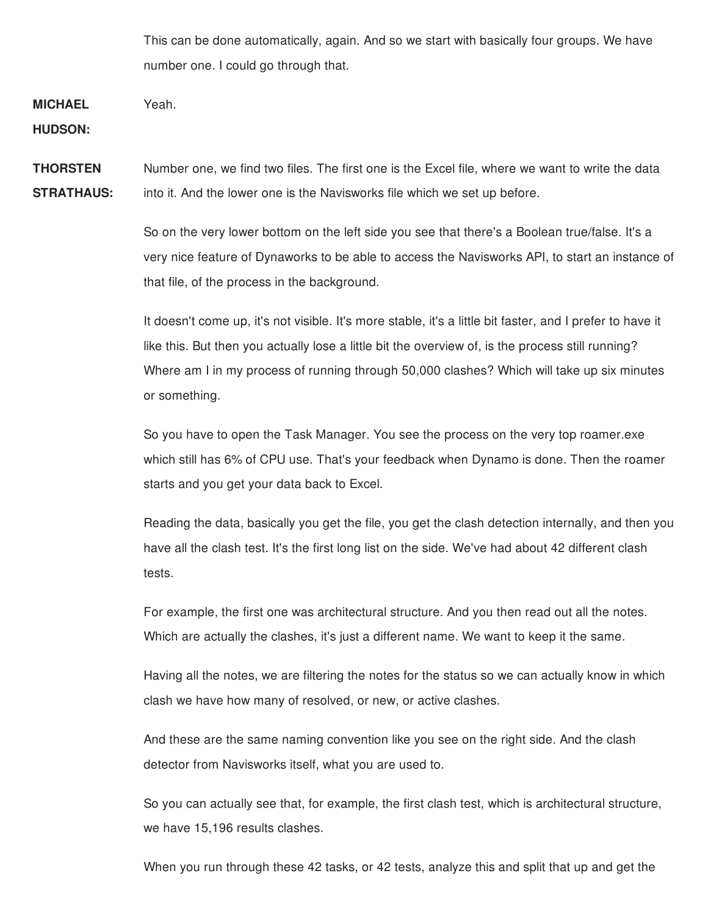This can be done automatically, again. And so we start with basically four groups. We have number one. I could go through that.

**MICHAEL** Yeah.

**HUDSON:**

**THORSTEN STRATHAUS:** Number one, we find two files. The first one is the Excel file, where we want to write the data into it. And the lower one is the Navisworks file which we set up before.

> So on the very lower bottom on the left side you see that there's a Boolean true/false. It's a very nice feature of Dynaworks to be able to access the Navisworks API, to start an instance of that file, of the process in the background.

It doesn't come up, it's not visible. It's more stable, it's a little bit faster, and I prefer to have it like this. But then you actually lose a little bit the overview of, is the process still running? Where am I in my process of running through 50,000 clashes? Which will take up six minutes or something.

So you have to open the Task Manager. You see the process on the very top roamer.exe which still has 6% of CPU use. That's your feedback when Dynamo is done. Then the roamer starts and you get your data back to Excel.

Reading the data, basically you get the file, you get the clash detection internally, and then you have all the clash test. It's the first long list on the side. We've had about 42 different clash tests.

For example, the first one was architectural structure. And you then read out all the notes. Which are actually the clashes, it's just a different name. We want to keep it the same.

Having all the notes, we are filtering the notes for the status so we can actually know in which clash we have how many of resolved, or new, or active clashes.

And these are the same naming convention like you see on the right side. And the clash detector from Navisworks itself, what you are used to.

So you can actually see that, for example, the first clash test, which is architectural structure, we have 15,196 results clashes.

When you run through these 42 tasks, or 42 tests, analyze this and split that up and get the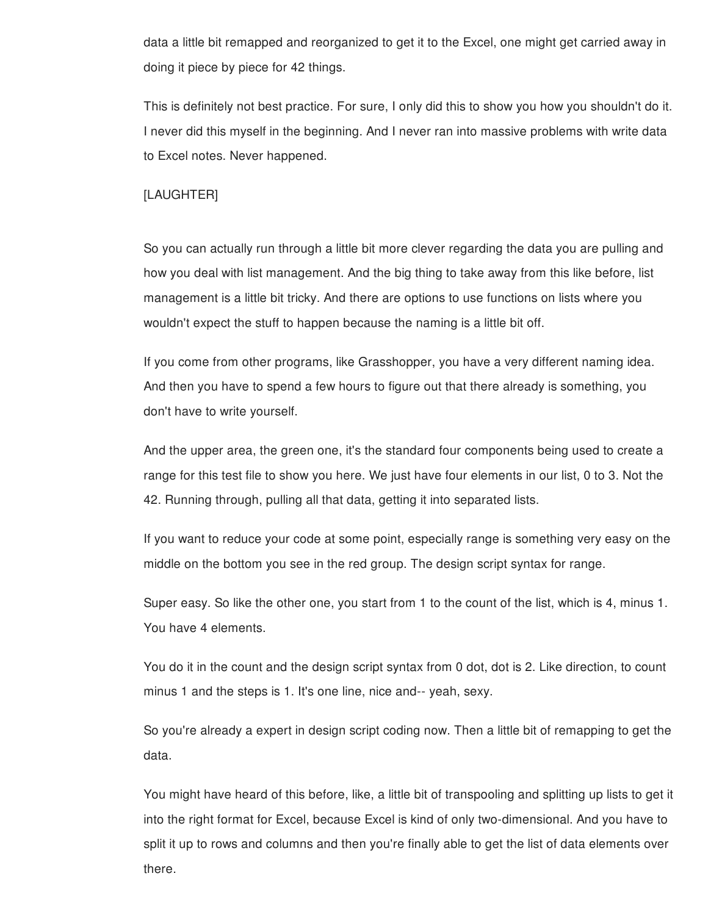data a little bit remapped and reorganized to get it to the Excel, one might get carried away in doing it piece by piece for 42 things.

This is definitely not best practice. For sure, I only did this to show you how you shouldn't do it. I never did this myself in the beginning. And I never ran into massive problems with write data to Excel notes. Never happened.

# [LAUGHTER]

So you can actually run through a little bit more clever regarding the data you are pulling and how you deal with list management. And the big thing to take away from this like before, list management is a little bit tricky. And there are options to use functions on lists where you wouldn't expect the stuff to happen because the naming is a little bit off.

If you come from other programs, like Grasshopper, you have a very different naming idea. And then you have to spend a few hours to figure out that there already is something, you don't have to write yourself.

And the upper area, the green one, it's the standard four components being used to create a range for this test file to show you here. We just have four elements in our list, 0 to 3. Not the 42. Running through, pulling all that data, getting it into separated lists.

If you want to reduce your code at some point, especially range is something very easy on the middle on the bottom you see in the red group. The design script syntax for range.

Super easy. So like the other one, you start from 1 to the count of the list, which is 4, minus 1. You have 4 elements.

You do it in the count and the design script syntax from 0 dot, dot is 2. Like direction, to count minus 1 and the steps is 1. It's one line, nice and-- yeah, sexy.

So you're already a expert in design script coding now. Then a little bit of remapping to get the data.

You might have heard of this before, like, a little bit of transpooling and splitting up lists to get it into the right format for Excel, because Excel is kind of only two-dimensional. And you have to split it up to rows and columns and then you're finally able to get the list of data elements over there.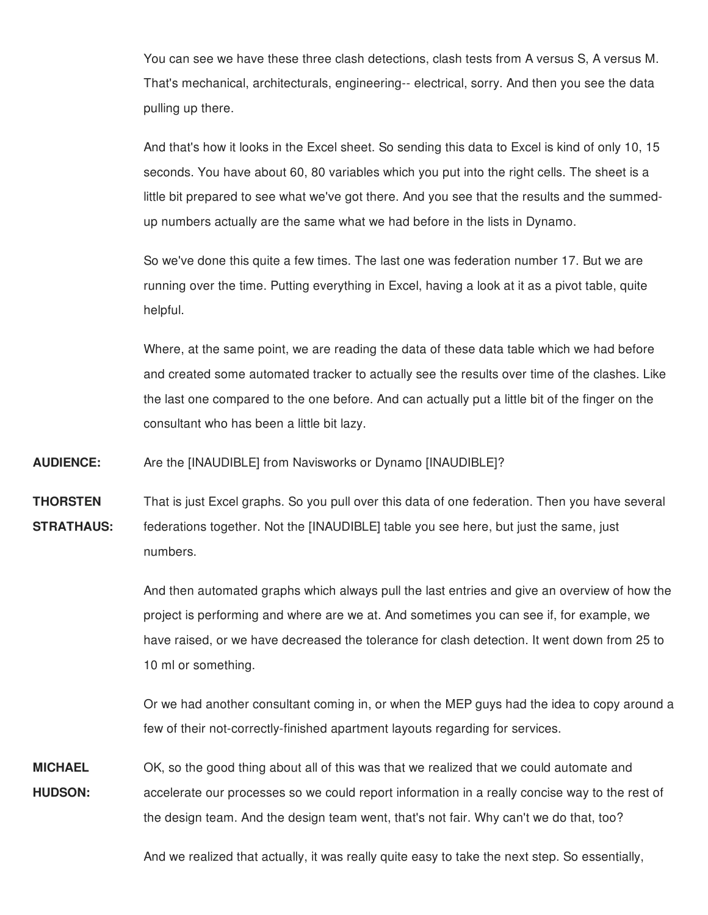You can see we have these three clash detections, clash tests from A versus S, A versus M. That's mechanical, architecturals, engineering-- electrical, sorry. And then you see the data pulling up there.

And that's how it looks in the Excel sheet. So sending this data to Excel is kind of only 10, 15 seconds. You have about 60, 80 variables which you put into the right cells. The sheet is a little bit prepared to see what we've got there. And you see that the results and the summedup numbers actually are the same what we had before in the lists in Dynamo.

So we've done this quite a few times. The last one was federation number 17. But we are running over the time. Putting everything in Excel, having a look at it as a pivot table, quite helpful.

Where, at the same point, we are reading the data of these data table which we had before and created some automated tracker to actually see the results over time of the clashes. Like the last one compared to the one before. And can actually put a little bit of the finger on the consultant who has been a little bit lazy.

**AUDIENCE:** Are the [INAUDIBLE] from Navisworks or Dynamo [INAUDIBLE]?

**THORSTEN STRATHAUS:** That is just Excel graphs. So you pull over this data of one federation. Then you have several federations together. Not the [INAUDIBLE] table you see here, but just the same, just numbers.

> And then automated graphs which always pull the last entries and give an overview of how the project is performing and where are we at. And sometimes you can see if, for example, we have raised, or we have decreased the tolerance for clash detection. It went down from 25 to 10 ml or something.

> Or we had another consultant coming in, or when the MEP guys had the idea to copy around a few of their not-correctly-finished apartment layouts regarding for services.

**MICHAEL HUDSON:** OK, so the good thing about all of this was that we realized that we could automate and accelerate our processes so we could report information in a really concise way to the rest of the design team. And the design team went, that's not fair. Why can't we do that, too?

And we realized that actually, it was really quite easy to take the next step. So essentially,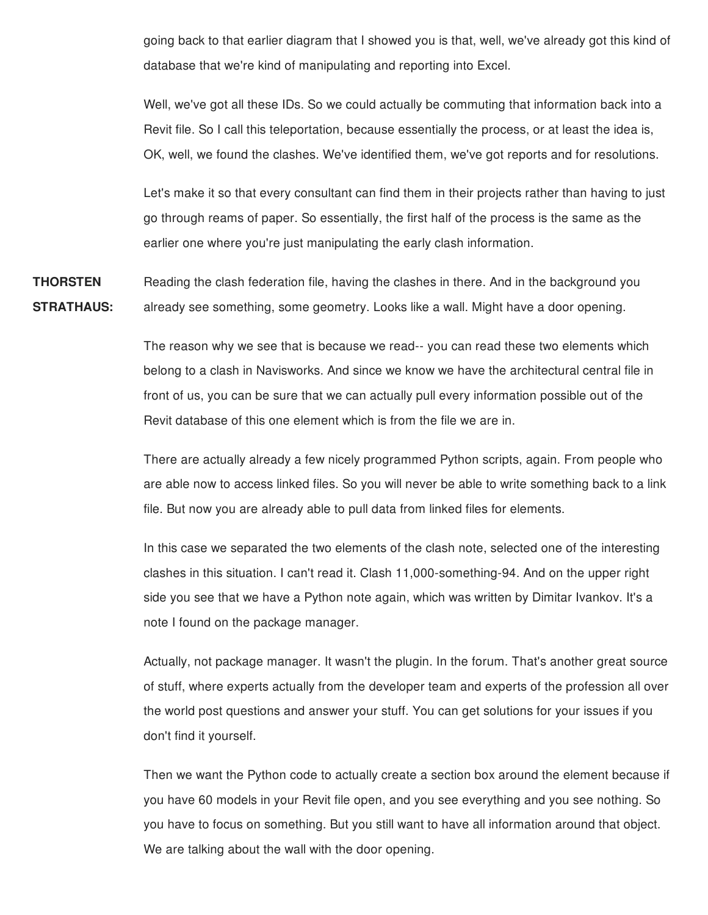going back to that earlier diagram that I showed you is that, well, we've already got this kind of database that we're kind of manipulating and reporting into Excel.

Well, we've got all these IDs. So we could actually be commuting that information back into a Revit file. So I call this teleportation, because essentially the process, or at least the idea is, OK, well, we found the clashes. We've identified them, we've got reports and for resolutions.

Let's make it so that every consultant can find them in their projects rather than having to just go through reams of paper. So essentially, the first half of the process is the same as the earlier one where you're just manipulating the early clash information.

**THORSTEN STRATHAUS:** Reading the clash federation file, having the clashes in there. And in the background you already see something, some geometry. Looks like a wall. Might have a door opening.

> The reason why we see that is because we read-- you can read these two elements which belong to a clash in Navisworks. And since we know we have the architectural central file in front of us, you can be sure that we can actually pull every information possible out of the Revit database of this one element which is from the file we are in.

There are actually already a few nicely programmed Python scripts, again. From people who are able now to access linked files. So you will never be able to write something back to a link file. But now you are already able to pull data from linked files for elements.

In this case we separated the two elements of the clash note, selected one of the interesting clashes in this situation. I can't read it. Clash 11,000-something-94. And on the upper right side you see that we have a Python note again, which was written by Dimitar Ivankov. It's a note I found on the package manager.

Actually, not package manager. It wasn't the plugin. In the forum. That's another great source of stuff, where experts actually from the developer team and experts of the profession all over the world post questions and answer your stuff. You can get solutions for your issues if you don't find it yourself.

Then we want the Python code to actually create a section box around the element because if you have 60 models in your Revit file open, and you see everything and you see nothing. So you have to focus on something. But you still want to have all information around that object. We are talking about the wall with the door opening.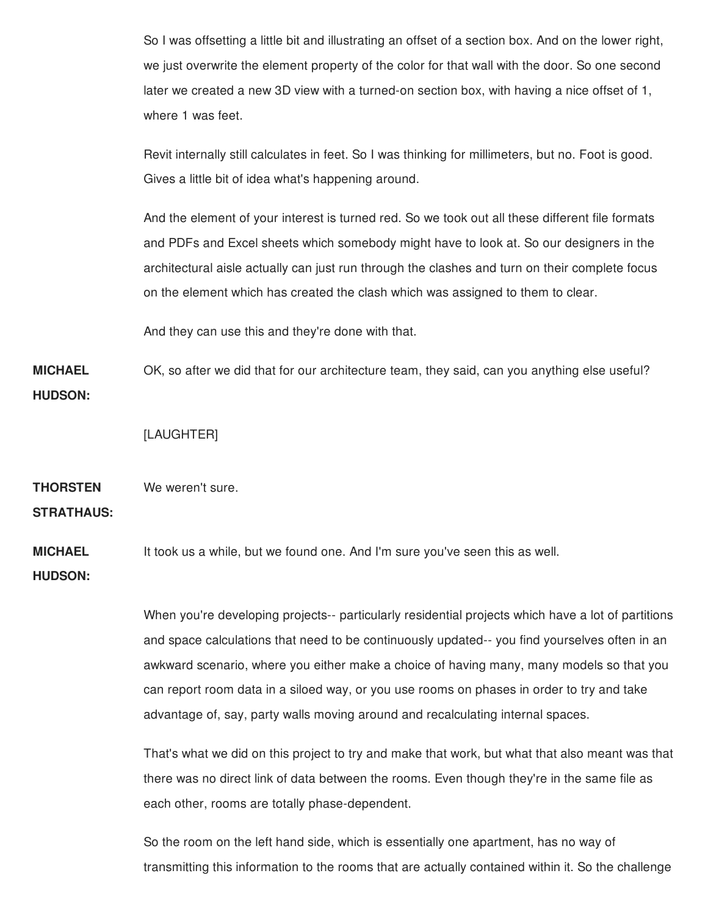So I was offsetting a little bit and illustrating an offset of a section box. And on the lower right, we just overwrite the element property of the color for that wall with the door. So one second later we created a new 3D view with a turned-on section box, with having a nice offset of 1, where 1 was feet.

Revit internally still calculates in feet. So I was thinking for millimeters, but no. Foot is good. Gives a little bit of idea what's happening around.

And the element of your interest is turned red. So we took out all these different file formats and PDFs and Excel sheets which somebody might have to look at. So our designers in the architectural aisle actually can just run through the clashes and turn on their complete focus on the element which has created the clash which was assigned to them to clear.

And they can use this and they're done with that.

**MICHAEL HUDSON:** OK, so after we did that for our architecture team, they said, can you anything else useful?

[LAUGHTER]

**THORSTEN** We weren't sure.

**STRATHAUS:**

**MICHAEL** It took us a while, but we found one. And I'm sure you've seen this as well.

**HUDSON:**

When you're developing projects-- particularly residential projects which have a lot of partitions and space calculations that need to be continuously updated-- you find yourselves often in an awkward scenario, where you either make a choice of having many, many models so that you can report room data in a siloed way, or you use rooms on phases in order to try and take advantage of, say, party walls moving around and recalculating internal spaces.

That's what we did on this project to try and make that work, but what that also meant was that there was no direct link of data between the rooms. Even though they're in the same file as each other, rooms are totally phase-dependent.

So the room on the left hand side, which is essentially one apartment, has no way of transmitting this information to the rooms that are actually contained within it. So the challenge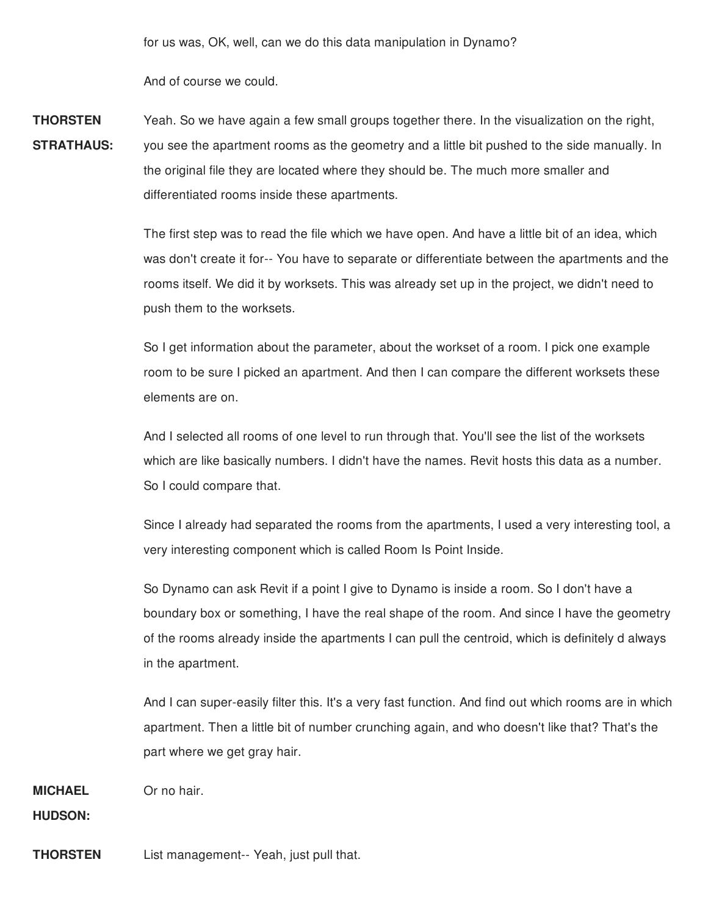for us was, OK, well, can we do this data manipulation in Dynamo?

And of course we could.

**THORSTEN STRATHAUS:** Yeah. So we have again a few small groups together there. In the visualization on the right, you see the apartment rooms as the geometry and a little bit pushed to the side manually. In the original file they are located where they should be. The much more smaller and differentiated rooms inside these apartments.

> The first step was to read the file which we have open. And have a little bit of an idea, which was don't create it for-- You have to separate or differentiate between the apartments and the rooms itself. We did it by worksets. This was already set up in the project, we didn't need to push them to the worksets.

So I get information about the parameter, about the workset of a room. I pick one example room to be sure I picked an apartment. And then I can compare the different worksets these elements are on.

And I selected all rooms of one level to run through that. You'll see the list of the worksets which are like basically numbers. I didn't have the names. Revit hosts this data as a number. So I could compare that.

Since I already had separated the rooms from the apartments, I used a very interesting tool, a very interesting component which is called Room Is Point Inside.

So Dynamo can ask Revit if a point I give to Dynamo is inside a room. So I don't have a boundary box or something, I have the real shape of the room. And since I have the geometry of the rooms already inside the apartments I can pull the centroid, which is definitely d always in the apartment.

And I can super-easily filter this. It's a very fast function. And find out which rooms are in which apartment. Then a little bit of number crunching again, and who doesn't like that? That's the part where we get gray hair.

**MICHAEL** Or no hair.

**HUDSON:**

**THORSTEN** List management-- Yeah, just pull that.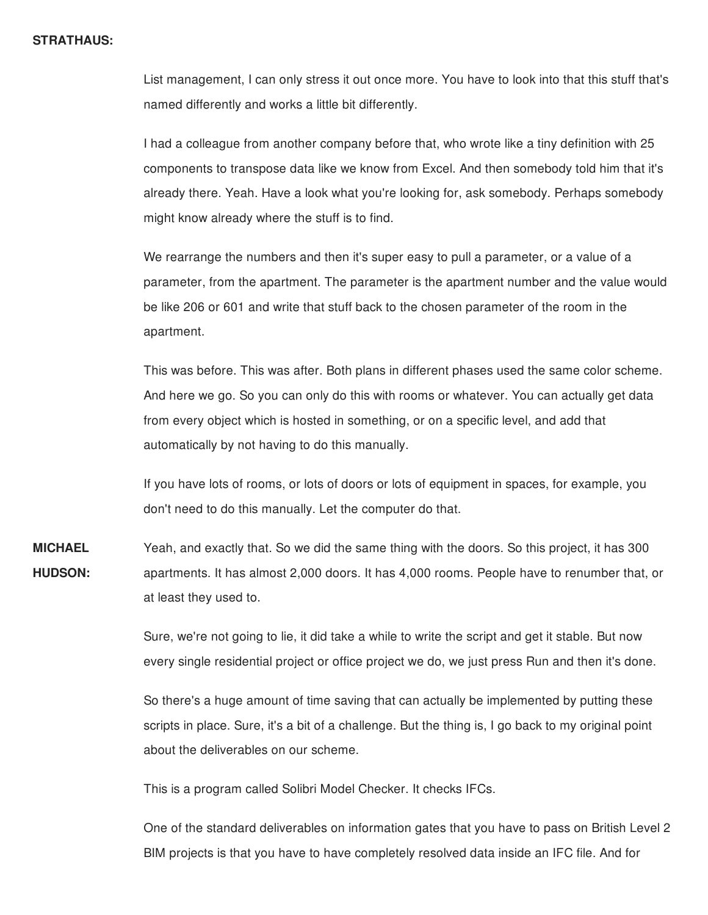#### **STRATHAUS:**

List management, I can only stress it out once more. You have to look into that this stuff that's named differently and works a little bit differently.

I had a colleague from another company before that, who wrote like a tiny definition with 25 components to transpose data like we know from Excel. And then somebody told him that it's already there. Yeah. Have a look what you're looking for, ask somebody. Perhaps somebody might know already where the stuff is to find.

We rearrange the numbers and then it's super easy to pull a parameter, or a value of a parameter, from the apartment. The parameter is the apartment number and the value would be like 206 or 601 and write that stuff back to the chosen parameter of the room in the apartment.

This was before. This was after. Both plans in different phases used the same color scheme. And here we go. So you can only do this with rooms or whatever. You can actually get data from every object which is hosted in something, or on a specific level, and add that automatically by not having to do this manually.

If you have lots of rooms, or lots of doors or lots of equipment in spaces, for example, you don't need to do this manually. Let the computer do that.

**MICHAEL HUDSON:** Yeah, and exactly that. So we did the same thing with the doors. So this project, it has 300 apartments. It has almost 2,000 doors. It has 4,000 rooms. People have to renumber that, or at least they used to.

> Sure, we're not going to lie, it did take a while to write the script and get it stable. But now every single residential project or office project we do, we just press Run and then it's done.

> So there's a huge amount of time saving that can actually be implemented by putting these scripts in place. Sure, it's a bit of a challenge. But the thing is, I go back to my original point about the deliverables on our scheme.

This is a program called Solibri Model Checker. It checks IFCs.

One of the standard deliverables on information gates that you have to pass on British Level 2 BIM projects is that you have to have completely resolved data inside an IFC file. And for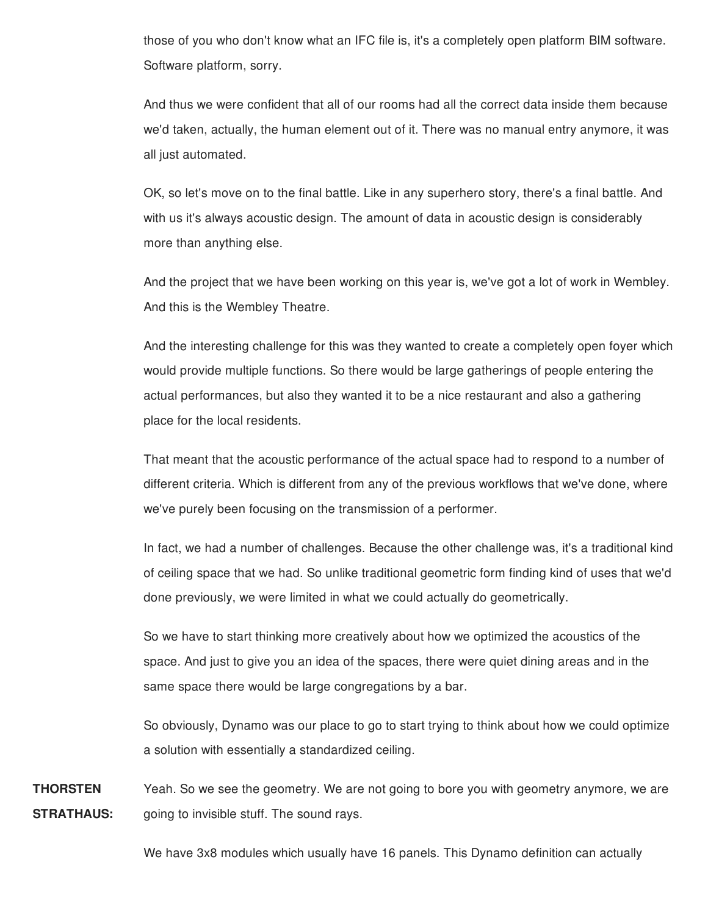those of you who don't know what an IFC file is, it's a completely open platform BIM software. Software platform, sorry.

And thus we were confident that all of our rooms had all the correct data inside them because we'd taken, actually, the human element out of it. There was no manual entry anymore, it was all just automated.

OK, so let's move on to the final battle. Like in any superhero story, there's a final battle. And with us it's always acoustic design. The amount of data in acoustic design is considerably more than anything else.

And the project that we have been working on this year is, we've got a lot of work in Wembley. And this is the Wembley Theatre.

And the interesting challenge for this was they wanted to create a completely open foyer which would provide multiple functions. So there would be large gatherings of people entering the actual performances, but also they wanted it to be a nice restaurant and also a gathering place for the local residents.

That meant that the acoustic performance of the actual space had to respond to a number of different criteria. Which is different from any of the previous workflows that we've done, where we've purely been focusing on the transmission of a performer.

In fact, we had a number of challenges. Because the other challenge was, it's a traditional kind of ceiling space that we had. So unlike traditional geometric form finding kind of uses that we'd done previously, we were limited in what we could actually do geometrically.

So we have to start thinking more creatively about how we optimized the acoustics of the space. And just to give you an idea of the spaces, there were quiet dining areas and in the same space there would be large congregations by a bar.

So obviously, Dynamo was our place to go to start trying to think about how we could optimize a solution with essentially a standardized ceiling.

**THORSTEN STRATHAUS:** Yeah. So we see the geometry. We are not going to bore you with geometry anymore, we are going to invisible stuff. The sound rays.

We have 3x8 modules which usually have 16 panels. This Dynamo definition can actually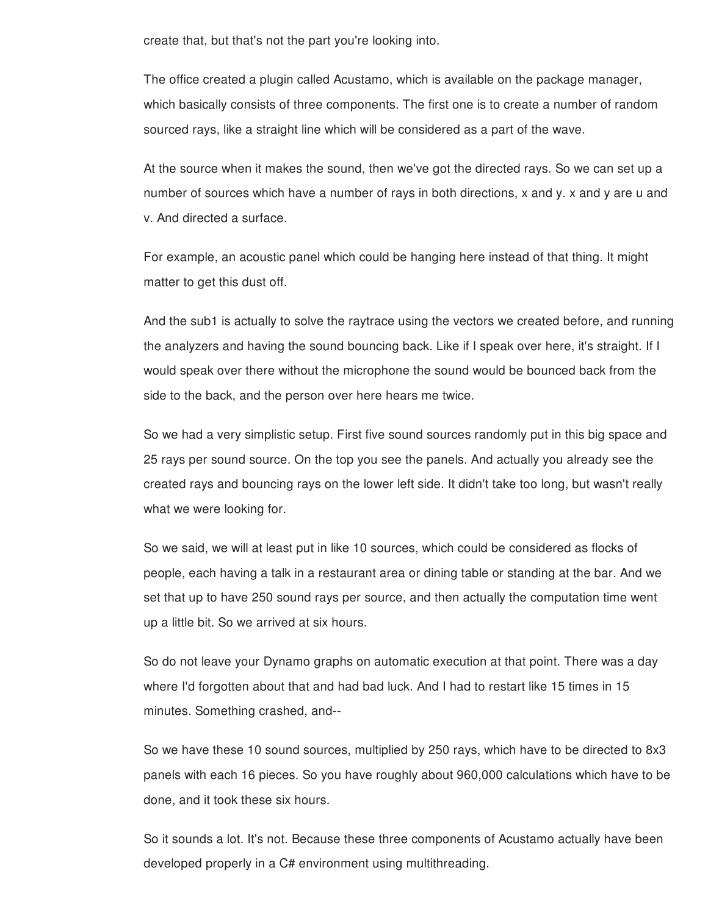create that, but that's not the part you're looking into.

The office created a plugin called Acustamo, which is available on the package manager, which basically consists of three components. The first one is to create a number of random sourced rays, like a straight line which will be considered as a part of the wave.

At the source when it makes the sound, then we've got the directed rays. So we can set up a number of sources which have a number of rays in both directions, x and y. x and y are u and v. And directed a surface.

For example, an acoustic panel which could be hanging here instead of that thing. It might matter to get this dust off.

And the sub1 is actually to solve the raytrace using the vectors we created before, and running the analyzers and having the sound bouncing back. Like if I speak over here, it's straight. If I would speak over there without the microphone the sound would be bounced back from the side to the back, and the person over here hears me twice.

So we had a very simplistic setup. First five sound sources randomly put in this big space and 25 rays per sound source. On the top you see the panels. And actually you already see the created rays and bouncing rays on the lower left side. It didn't take too long, but wasn't really what we were looking for.

So we said, we will at least put in like 10 sources, which could be considered as flocks of people, each having a talk in a restaurant area or dining table or standing at the bar. And we set that up to have 250 sound rays per source, and then actually the computation time went up a little bit. So we arrived at six hours.

So do not leave your Dynamo graphs on automatic execution at that point. There was a day where I'd forgotten about that and had bad luck. And I had to restart like 15 times in 15 minutes. Something crashed, and--

So we have these 10 sound sources, multiplied by 250 rays, which have to be directed to 8x3 panels with each 16 pieces. So you have roughly about 960,000 calculations which have to be done, and it took these six hours.

So it sounds a lot. It's not. Because these three components of Acustamo actually have been developed properly in a C# environment using multithreading.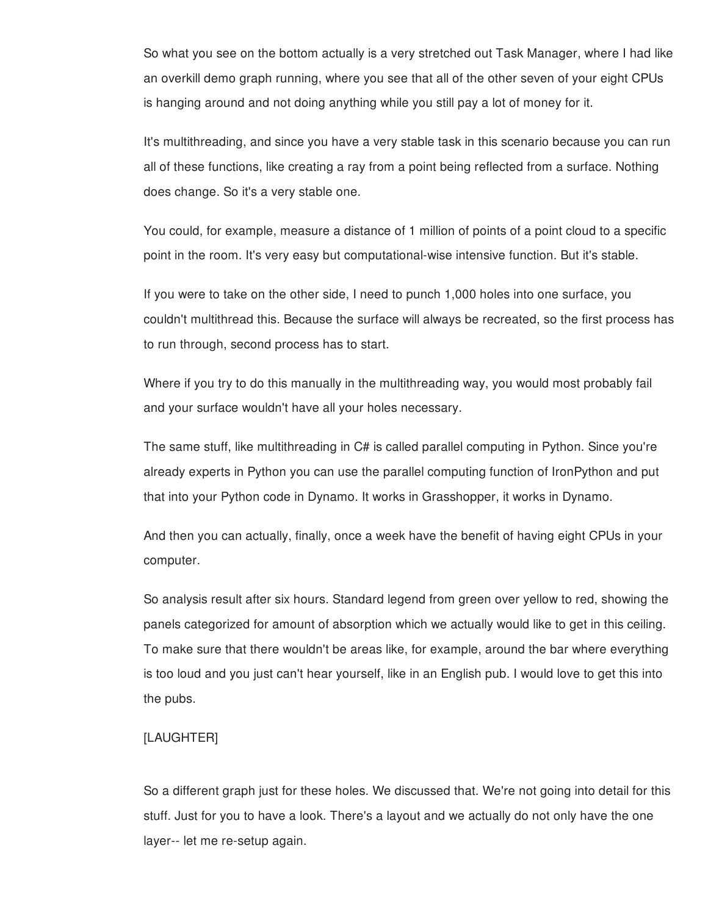So what you see on the bottom actually is a very stretched out Task Manager, where I had like an overkill demo graph running, where you see that all of the other seven of your eight CPUs is hanging around and not doing anything while you still pay a lot of money for it.

It's multithreading, and since you have a very stable task in this scenario because you can run all of these functions, like creating a ray from a point being reflected from a surface. Nothing does change. So it's a very stable one.

You could, for example, measure a distance of 1 million of points of a point cloud to a specific point in the room. It's very easy but computational-wise intensive function. But it's stable.

If you were to take on the other side, I need to punch 1,000 holes into one surface, you couldn't multithread this. Because the surface will always be recreated, so the first process has to run through, second process has to start.

Where if you try to do this manually in the multithreading way, you would most probably fail and your surface wouldn't have all your holes necessary.

The same stuff, like multithreading in C# is called parallel computing in Python. Since you're already experts in Python you can use the parallel computing function of IronPython and put that into your Python code in Dynamo. It works in Grasshopper, it works in Dynamo.

And then you can actually, finally, once a week have the benefit of having eight CPUs in your computer.

So analysis result after six hours. Standard legend from green over yellow to red, showing the panels categorized for amount of absorption which we actually would like to get in this ceiling. To make sure that there wouldn't be areas like, for example, around the bar where everything is too loud and you just can't hear yourself, like in an English pub. I would love to get this into the pubs.

# [LAUGHTER]

So a different graph just for these holes. We discussed that. We're not going into detail for this stuff. Just for you to have a look. There's a layout and we actually do not only have the one layer-- let me re-setup again.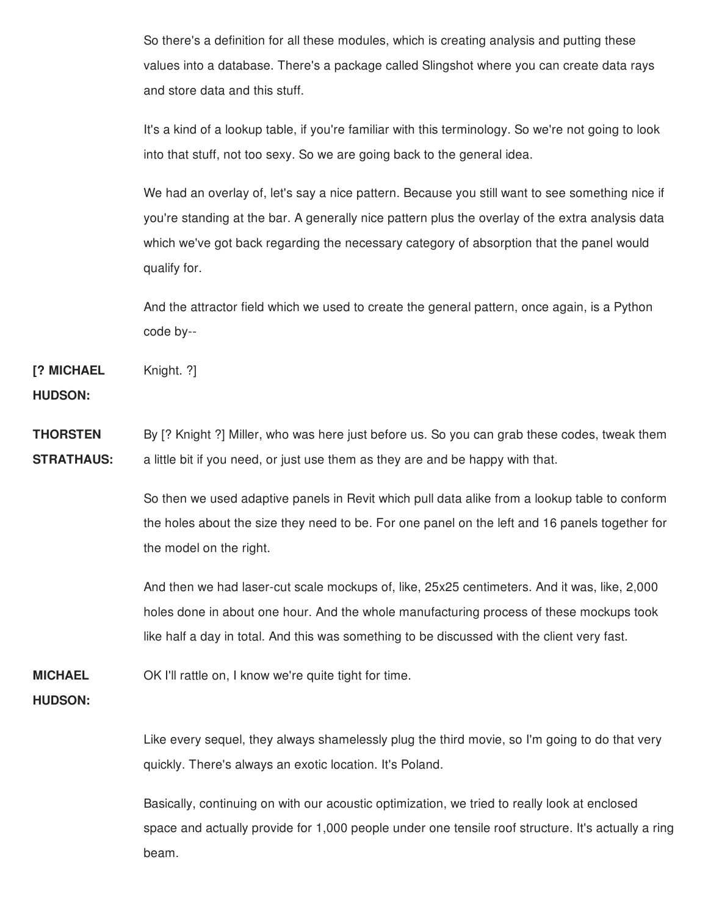So there's a definition for all these modules, which is creating analysis and putting these values into a database. There's a package called Slingshot where you can create data rays and store data and this stuff.

It's a kind of a lookup table, if you're familiar with this terminology. So we're not going to look into that stuff, not too sexy. So we are going back to the general idea.

We had an overlay of, let's say a nice pattern. Because you still want to see something nice if you're standing at the bar. A generally nice pattern plus the overlay of the extra analysis data which we've got back regarding the necessary category of absorption that the panel would qualify for.

And the attractor field which we used to create the general pattern, once again, is a Python code by--

**[? MICHAEL** Knight. ?]

**HUDSON:**

**THORSTEN STRATHAUS:** By [? Knight ?] Miller, who was here just before us. So you can grab these codes, tweak them a little bit if you need, or just use them as they are and be happy with that.

> So then we used adaptive panels in Revit which pull data alike from a lookup table to conform the holes about the size they need to be. For one panel on the left and 16 panels together for the model on the right.

And then we had laser-cut scale mockups of, like, 25x25 centimeters. And it was, like, 2,000 holes done in about one hour. And the whole manufacturing process of these mockups took like half a day in total. And this was something to be discussed with the client very fast.

**MICHAEL** OK I'll rattle on, I know we're quite tight for time.

### **HUDSON:**

Like every sequel, they always shamelessly plug the third movie, so I'm going to do that very quickly. There's always an exotic location. It's Poland.

Basically, continuing on with our acoustic optimization, we tried to really look at enclosed space and actually provide for 1,000 people under one tensile roof structure. It's actually a ring beam.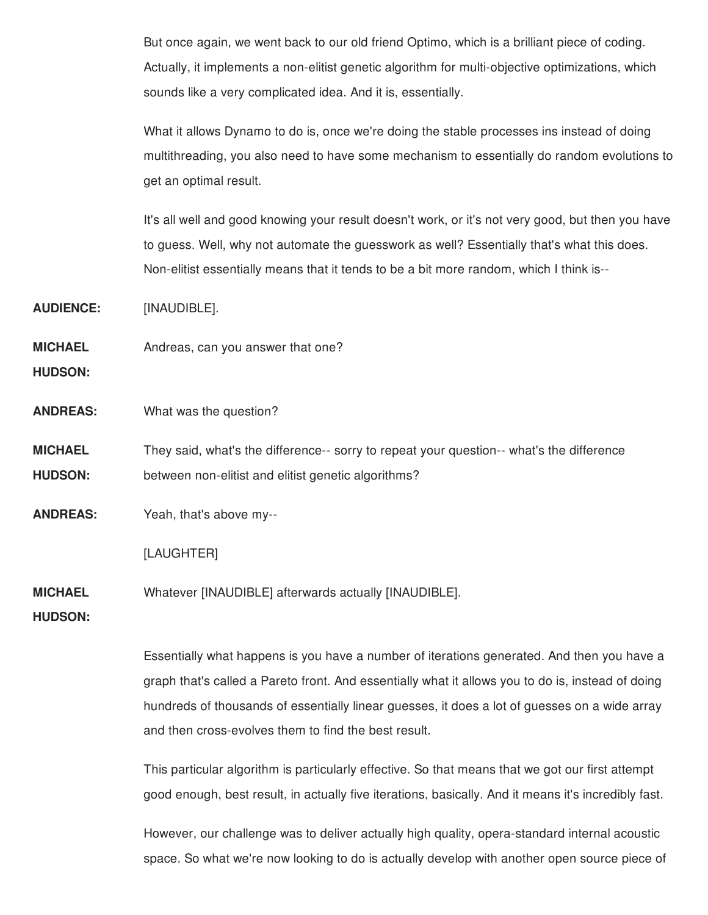But once again, we went back to our old friend Optimo, which is a brilliant piece of coding. Actually, it implements a non-elitist genetic algorithm for multi-objective optimizations, which sounds like a very complicated idea. And it is, essentially.

What it allows Dynamo to do is, once we're doing the stable processes ins instead of doing multithreading, you also need to have some mechanism to essentially do random evolutions to get an optimal result.

It's all well and good knowing your result doesn't work, or it's not very good, but then you have to guess. Well, why not automate the guesswork as well? Essentially that's what this does. Non-elitist essentially means that it tends to be a bit more random, which I think is--

**AUDIENCE:** [INAUDIBLE].

**MICHAEL** Andreas, can you answer that one?

**HUDSON:**

**ANDREAS:** What was the question?

**MICHAEL HUDSON:** They said, what's the difference-- sorry to repeat your question-- what's the difference between non-elitist and elitist genetic algorithms?

**ANDREAS:** Yeah, that's above my--

[LAUGHTER]

**MICHAEL** Whatever [INAUDIBLE] afterwards actually [INAUDIBLE].

**HUDSON:**

Essentially what happens is you have a number of iterations generated. And then you have a graph that's called a Pareto front. And essentially what it allows you to do is, instead of doing hundreds of thousands of essentially linear guesses, it does a lot of guesses on a wide array and then cross-evolves them to find the best result.

This particular algorithm is particularly effective. So that means that we got our first attempt good enough, best result, in actually five iterations, basically. And it means it's incredibly fast.

However, our challenge was to deliver actually high quality, opera-standard internal acoustic space. So what we're now looking to do is actually develop with another open source piece of